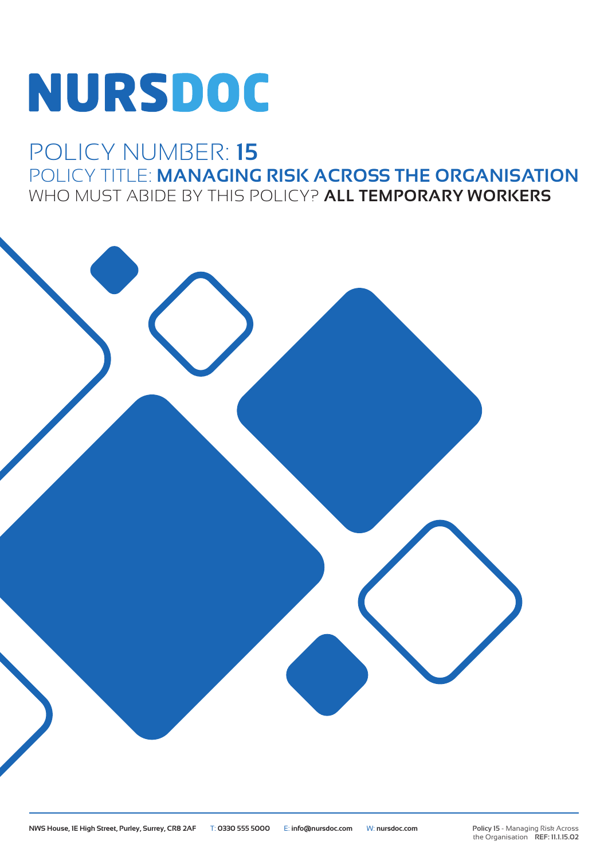# **NURSDOC**

### POLICY NUMBER: **15** POLICY TITLE: **MANAGING RISK ACROSS THE ORGANISATION** WHO MUST ABIDE BY THIS POLICY? **ALL TEMPORARY WORKERS**